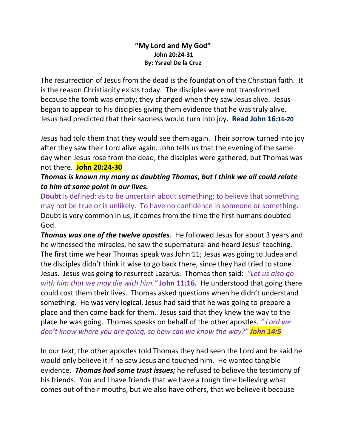## **"My Lord and My God" John 20:24-31 By: Ysrael De la Cruz**

The resurrection of Jesus from the dead is the foundation of the Christian faith. It is the reason Christianity exists today. The disciples were not transformed because the tomb was empty; they changed when they saw Jesus alive. Jesus began to appear to his disciples giving them evidence that he was truly alive. Jesus had predicted that their sadness would turn into joy. **Read John 16:16-20**

Jesus had told them that they would see them again. Their sorrow turned into joy after they saw their Lord alive again. John tells us that the evening of the same day when Jesus rose from the dead, the disciples were gathered, but Thomas was not there. **John 20:24-30**

## *Thomas is known my many as doubting Thomas, but I think we all could relate to him at some point in our lives.*

**Doubt** is defined: as to be uncertain about something; to believe that something may not be true or is unlikely. To have no confidence in someone or something. Doubt is very common in us, it comes from the time the first humans doubted God.

*Thomas was one of the twelve apostles*. He followed Jesus for about 3 years and he witnessed the miracles, he saw the supernatural and heard Jesus' teaching. The first time we hear Thomas speak was John 11; Jesus was going to Judea and the disciples didn't think it wise to go back there, since they had tried to stone Jesus. Jesus was going to resurrect Lazarus. Thomas then said: *"Let us also go with him that we may die with him."* **John 11:16.** He understood that going there could cost them their lives. Thomas asked questions when he didn't understand something. He was very logical. Jesus had said that he was going to prepare a place and then come back for them. Jesus said that they knew the way to the place he was going. Thomas speaks on behalf of the other apostles. *" Lord we don't know where you are going, so how can we know the way?" John 14:5*

In our text, the other apostles told Thomas they had seen the Lord and he said he would only believe it if he saw Jesus and touched him. He wanted tangible evidence. *Thomas had some trust issues;* he refused to believe the testimony of his friends. You and I have friends that we have a tough time believing what comes out of their mouths, but we also have others, that we believe it because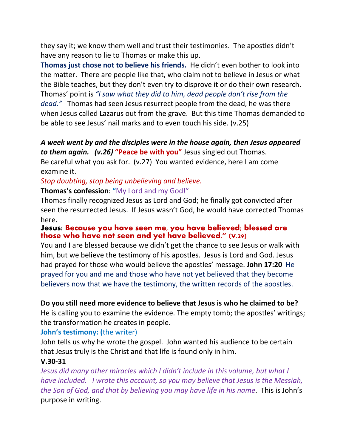they say it; we know them well and trust their testimonies. The apostles didn't have any reason to lie to Thomas or make this up.

**Thomas just chose not to believe his friends.** He didn't even bother to look into the matter. There are people like that, who claim not to believe in Jesus or what the Bible teaches, but they don't even try to disprove it or do their own research. Thomas' point is *"I saw what they did to him, dead people don't rise from the dead."* Thomas had seen Jesus resurrect people from the dead, he was there when Jesus called Lazarus out from the grave. But this time Thomas demanded to be able to see Jesus' nail marks and to even touch his side. (v.25)

## *A week went by and the disciples were in the house again, then Jesus appeared to them again. (v.26)* **"Peace be with you"** Jesus singled out Thomas.

Be careful what you ask for. (v.27) You wanted evidence, here I am come examine it.

#### *Stop doubting, stop being unbelieving and believe.* **Thomas's confession**: **"**My Lord and my God!"

Thomas finally recognized Jesus as Lord and God; he finally got convicted after seen the resurrected Jesus. If Jesus wasn't God, he would have corrected Thomas here.

#### **Jesus: Because you have seen me, you have believed; blessed are those who have not seen and yet have believed." (v.29)**

You and I are blessed because we didn't get the chance to see Jesus or walk with him, but we believe the testimony of his apostles. Jesus is Lord and God. Jesus had prayed for those who would believe the apostles' message. **John 17:20** He prayed for you and me and those who have not yet believed that they become believers now that we have the testimony, the written records of the apostles.

# **Do you still need more evidence to believe that Jesus is who he claimed to be?**

He is calling you to examine the evidence. The empty tomb; the apostles' writings; the transformation he creates in people.

# **John's testimony: (**the writer)

John tells us why he wrote the gospel. John wanted his audience to be certain that Jesus truly is the Christ and that life is found only in him.

## **V.30-31**

*Jesus did many other miracles which I didn't include in this volume, but what I have included. I wrote this account, so you may believe that Jesus is the Messiah, the Son of God, and that by believing you may have life in his name*. This is John's purpose in writing.